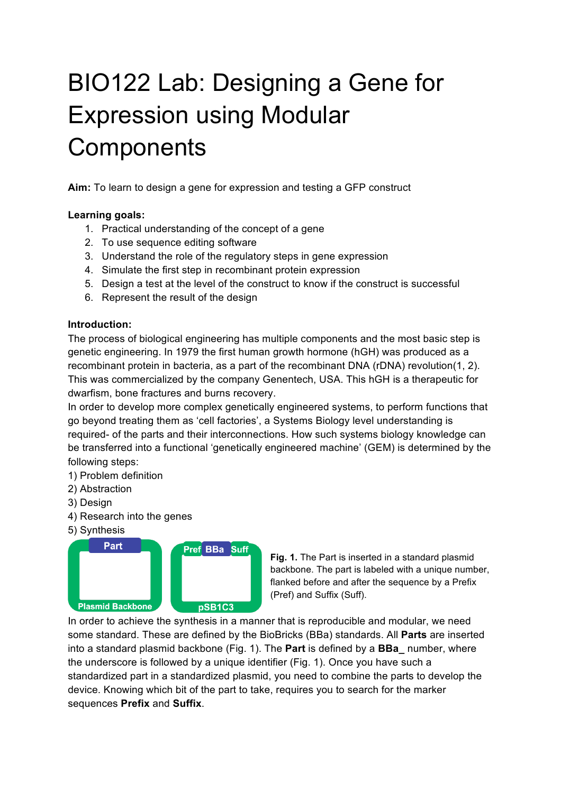# BIO122 Lab: Designing a Gene for Expression using Modular **Components**

**Aim:** To learn to design a gene for expression and testing a GFP construct

## **Learning goals:**

- 1. Practical understanding of the concept of a gene
- 2. To use sequence editing software
- 3. Understand the role of the regulatory steps in gene expression
- 4. Simulate the first step in recombinant protein expression
- 5. Design a test at the level of the construct to know if the construct is successful
- 6. Represent the result of the design

#### **Introduction:**

The process of biological engineering has multiple components and the most basic step is genetic engineering. In 1979 the first human growth hormone (hGH) was produced as a recombinant protein in bacteria, as a part of the recombinant DNA (rDNA) revolution(1, 2). This was commercialized by the company Genentech, USA. This hGH is a therapeutic for dwarfism, bone fractures and burns recovery.

In order to develop more complex genetically engineered systems, to perform functions that go beyond treating them as 'cell factories', a Systems Biology level understanding is required- of the parts and their interconnections. How such systems biology knowledge can be transferred into a functional 'genetically engineered machine' (GEM) is determined by the following steps:

1) Problem definition

- 2) Abstraction
- 3) Design
- 4) Research into the genes
- 5) Synthesis



**Fig. 1.** The Part is inserted in a standard plasmid backbone. The part is labeled with a unique number, flanked before and after the sequence by a Prefix (Pref) and Suffix (Suff).

In order to achieve the synthesis in a manner that is reproducible and modular, we need some standard. These are defined by the BioBricks (BBa) standards. All **Parts** are inserted into a standard plasmid backbone (Fig. 1). The **Part** is defined by a **BBa\_** number, where the underscore is followed by a unique identifier (Fig. 1). Once you have such a standardized part in a standardized plasmid, you need to combine the parts to develop the device. Knowing which bit of the part to take, requires you to search for the marker sequences **Prefix** and **Suffix**.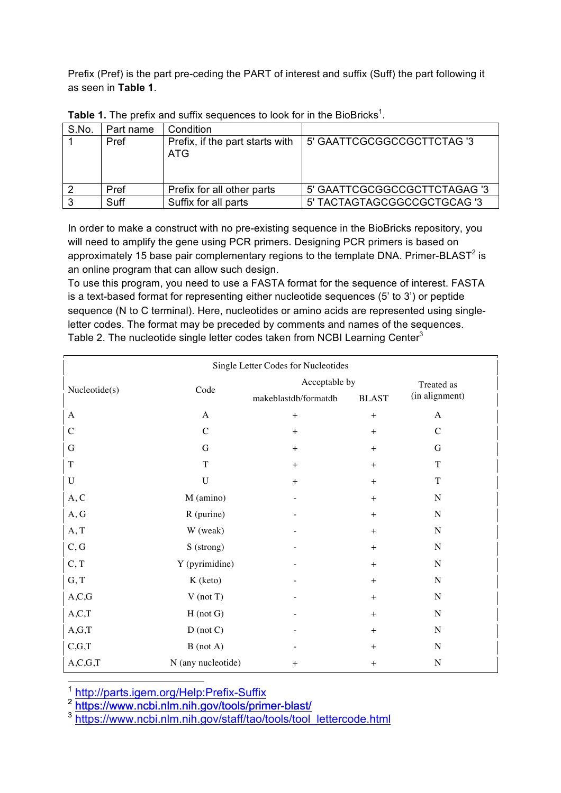Prefix (Pref) is the part pre-ceding the PART of interest and suffix (Suff) the part following it as seen in **Table 1**.

| S.No. | Part name | Condition                              |                              |
|-------|-----------|----------------------------------------|------------------------------|
|       | Pref      | Prefix, if the part starts with<br>ATG | 5' GAATTCGCGGCCGCTTCTAG '3   |
|       | Pref      | Prefix for all other parts             | 5' GAATTCGCGGCCGCTTCTAGAG '3 |
|       | Suff      | Suffix for all parts                   | 5' TACTAGTAGCGGCCGCTGCAG '3  |

Table 1. The prefix and suffix sequences to look for in the BioBricks<sup>1</sup>.

In order to make a construct with no pre-existing sequence in the BioBricks repository, you will need to amplify the gene using PCR primers. Designing PCR primers is based on approximately 15 base pair complementary regions to the template DNA. Primer-BLAST<sup>2</sup> is an online program that can allow such design.

To use this program, you need to use a FASTA format for the sequence of interest. FASTA is a text-based format for representing either nucleotide sequences (5' to 3') or peptide sequence (N to C terminal). Here, nucleotides or amino acids are represented using singleletter codes. The format may be preceded by comments and names of the sequences. Table 2. The nucleotide single letter codes taken from NCBI Learning Center<sup>3</sup>

| Single Letter Codes for Nucleotides |                    |                      |              |                |  |  |  |  |
|-------------------------------------|--------------------|----------------------|--------------|----------------|--|--|--|--|
|                                     | Code               | Acceptable by        | Treated as   |                |  |  |  |  |
| Nucleotide(s)                       |                    | makeblastdb/formatdb | <b>BLAST</b> | (in alignment) |  |  |  |  |
| $\mathbf{A}$                        | A                  | $+$                  | $+$          | $\mathbf{A}$   |  |  |  |  |
| $\mathcal{C}$                       | $\mathcal{C}$      | $+$                  | $+$          | $\mathcal{C}$  |  |  |  |  |
| G                                   | G                  | $+$                  | $+$          | G              |  |  |  |  |
| $\mathbf T$                         | T                  | $+$                  | $+$          | $\mathbf T$    |  |  |  |  |
| $\mathbf U$                         | $\mathbf U$        | $+$                  | $+$          | T              |  |  |  |  |
| A, C                                | M (amino)          |                      | $+$          | $\mathbf N$    |  |  |  |  |
| A, G                                | R (purine)         |                      | $+$          | $\mathbf N$    |  |  |  |  |
| A, T                                | W (weak)           |                      | $+$          | $\mathbf N$    |  |  |  |  |
| C, G                                | S (strong)         |                      | $+$          | $\mathbf N$    |  |  |  |  |
| C, T                                | Y (pyrimidine)     |                      | $+$          | $\mathbf N$    |  |  |  |  |
| G, T                                | K (keto)           |                      | $+$          | $\mathbf N$    |  |  |  |  |
| A, C, G                             | $V$ (not T)        |                      | $+$          | $\mathbf N$    |  |  |  |  |
| A, C, T                             | $H$ (not $G$ )     |                      | $+$          | $\mathbf N$    |  |  |  |  |
| A,G,T                               | $D$ (not $C$ )     |                      | $+$          | $\mathbf N$    |  |  |  |  |
| C,G,T                               | $B$ (not A)        |                      | $+$          | $\mathbf N$    |  |  |  |  |
| A, C, G, T                          | N (any nucleotide) | $+$                  | $+$          | $\overline{N}$ |  |  |  |  |

Single Letter Codes for Nucleotides

1<br>1 http://parts.igem.org/Help:Prefix-Suffix

 $\mathbf{r}$ 

<sup>2</sup> https://www.ncbi.nlm.nih.gov/tools/primer-blast/

<sup>3</sup> https://www.ncbi.nlm.nih.gov/staff/tao/tools/tool\_lettercode.html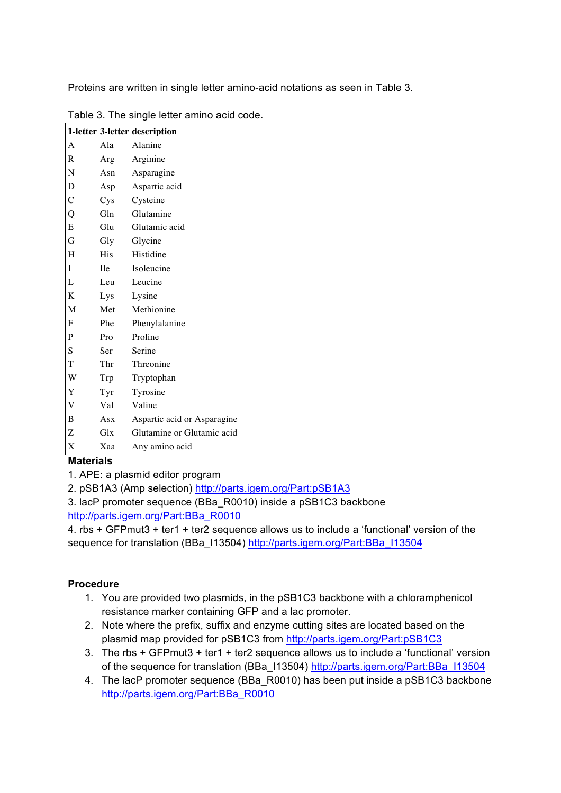Proteins are written in single letter amino-acid notations as seen in Table 3.

|                                  | 1-letter 3-letter description |
|----------------------------------|-------------------------------|
| Ala                              | Alanine                       |
| Arg                              | Arginine                      |
| Asn                              | Asparagine                    |
| Asp                              | Aspartic acid                 |
| $\mathbf{C}\mathbf{y}\mathbf{s}$ | Cysteine                      |
| Gln                              | Glutamine                     |
| Glu                              | Glutamic acid                 |
| Gly                              | Glycine                       |
| <b>His</b>                       | Histidine                     |
| <b>I</b> le                      | Isoleucine                    |
| Leu                              | Leucine                       |
| Lys                              | Lysine                        |
| Met                              | Methionine                    |
| Phe                              | Phenylalanine                 |
| Pro                              | Proline                       |
| Ser                              | Serine                        |
| Thr                              | Threonine                     |
| Trp                              | Tryptophan                    |
| Tyr                              | Tyrosine                      |
| Val                              | Valine                        |
| Asx                              | Aspartic acid or Asparagine   |
| Glx                              | Glutamine or Glutamic acid    |
| Xaa                              | Any amino acid                |
|                                  |                               |

|  | Table 3. The single letter amino acid code. |  |  |  |  |  |  |
|--|---------------------------------------------|--|--|--|--|--|--|
|--|---------------------------------------------|--|--|--|--|--|--|

# **Materials**

1. APE: a plasmid editor program

2. pSB1A3 (Amp selection) http://parts.igem.org/Part:pSB1A3

3. lacP promoter sequence (BBa\_R0010) inside a pSB1C3 backbone http://parts.igem.org/Part:BBa\_R0010

4. rbs + GFPmut3 + ter1 + ter2 sequence allows us to include a 'functional' version of the sequence for translation (BBa\_I13504) http://parts.igem.org/Part:BBa\_I13504

# **Procedure**

- 1. You are provided two plasmids, in the pSB1C3 backbone with a chloramphenicol resistance marker containing GFP and a lac promoter.
- 2. Note where the prefix, suffix and enzyme cutting sites are located based on the plasmid map provided for pSB1C3 from http://parts.igem.org/Part:pSB1C3
- 3. The rbs + GFPmut3 + ter1 + ter2 sequence allows us to include a 'functional' version of the sequence for translation (BBa\_I13504) http://parts.igem.org/Part:BBa\_I13504
- 4. The lacP promoter sequence (BBa\_R0010) has been put inside a pSB1C3 backbone http://parts.igem.org/Part:BBa\_R0010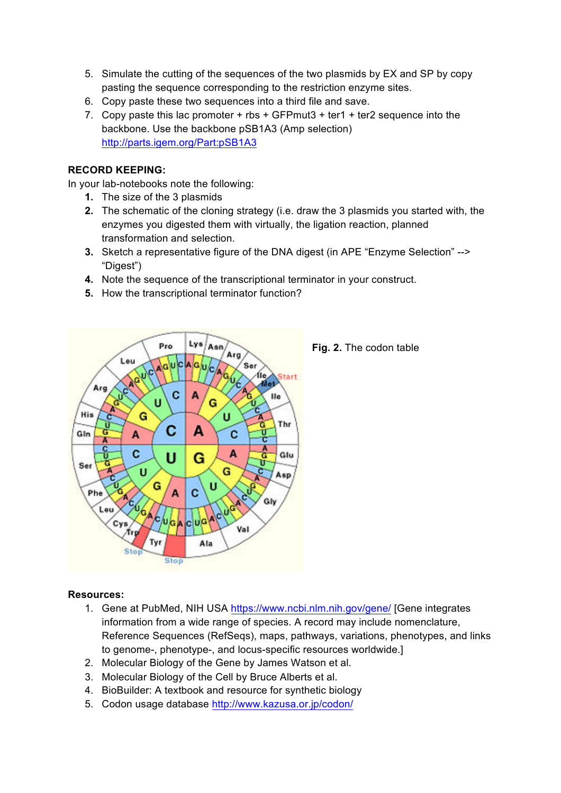- 5. Simulate the cutting of the sequences of the two plasmids by EX and SP by copy pasting the sequence corresponding to the restriction enzyme sites.
- 6. Copy paste these two sequences into a third file and save.
- 7. Copy paste this lac promoter  $+$  rbs  $+$  GFPmut3  $+$  ter1  $+$  ter2 sequence into the backbone. Use the backbone pSB1A3 (Amp selection) http://parts.igem.org/Part:pSB1A3

## **RECORD KEEPING:**

In your lab-notebooks note the following:

- **1.** The size of the 3 plasmids
- **2.** The schematic of the cloning strategy (i.e. draw the 3 plasmids you started with, the enzymes you digested them with virtually, the ligation reaction, planned transformation and selection.
- **3.** Sketch a representative figure of the DNA digest (in APE "Enzyme Selection" --> "Digest")
- **4.** Note the sequence of the transcriptional terminator in your construct.
- **5.** How the transcriptional terminator function?



**Fig. 2.** The codon table

#### **Resources:**

- 1. Gene at PubMed, NIH USA https://www.ncbi.nlm.nih.gov/gene/ [Gene integrates information from a wide range of species. A record may include nomenclature, Reference Sequences (RefSeqs), maps, pathways, variations, phenotypes, and links to genome-, phenotype-, and locus-specific resources worldwide.]
- 2. Molecular Biology of the Gene by James Watson et al.
- 3. Molecular Biology of the Cell by Bruce Alberts et al.
- 4. BioBuilder: A textbook and resource for synthetic biology
- 5. Codon usage database http://www.kazusa.or.jp/codon/